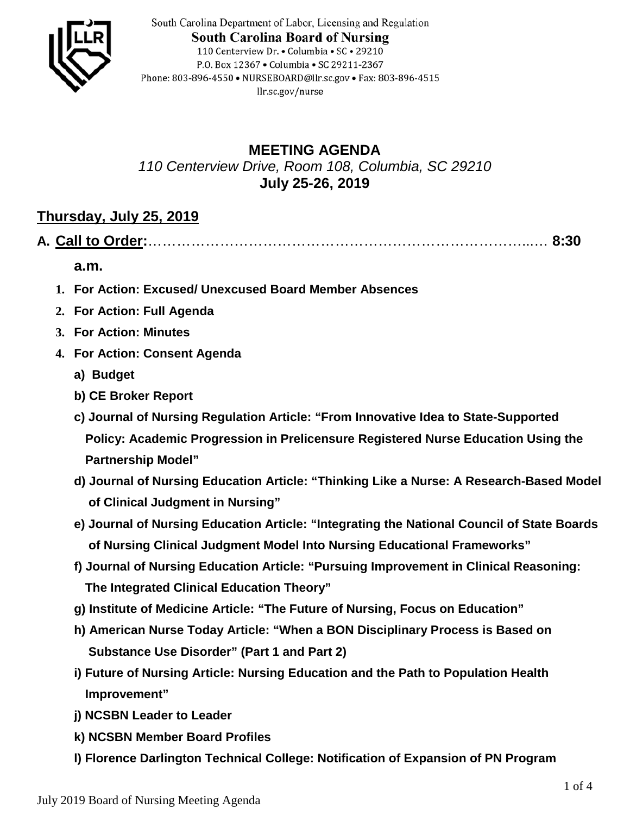

South Carolina Department of Labor, Licensing and Regulation **South Carolina Board of Nursing** 110 Centerview Dr. • Columbia • SC • 29210 P.O. Box 12367 . Columbia . SC 29211-2367 Phone: 803-896-4550 • NURSEBOARD@llr.sc.gov • Fax: 803-896-4515 llr.sc.gov/nurse

## **MEETING AGENDA** *110 Centerview Drive, Room 108, Columbia, SC 29210* **July 25-26, 2019**

## **Thursday, July 25, 2019**

**A. Call to Order:**……………………………………………………………………...… **8:30** 

**a.m.**

- **1. For Action: Excused/ Unexcused Board Member Absences**
- **2. For Action: Full Agenda**
- **3. For Action: Minutes**
- **4. For Action: Consent Agenda**
	- **a) Budget**
	- **b) CE Broker Report**
	- **c) Journal of Nursing Regulation Article: "From Innovative Idea to State-Supported Policy: Academic Progression in Prelicensure Registered Nurse Education Using the Partnership Model"**
	- **d) Journal of Nursing Education Article: "Thinking Like a Nurse: A Research-Based Model of Clinical Judgment in Nursing"**
	- **e) Journal of Nursing Education Article: "Integrating the National Council of State Boards of Nursing Clinical Judgment Model Into Nursing Educational Frameworks"**
	- **f) Journal of Nursing Education Article: "Pursuing Improvement in Clinical Reasoning: The Integrated Clinical Education Theory"**
	- **g) Institute of Medicine Article: "The Future of Nursing, Focus on Education"**
	- **h) American Nurse Today Article: "When a BON Disciplinary Process is Based on Substance Use Disorder" (Part 1 and Part 2)**
	- **i) Future of Nursing Article: Nursing Education and the Path to Population Health Improvement"**
	- **j) NCSBN Leader to Leader**
	- **k) NCSBN Member Board Profiles**
	- **l) Florence Darlington Technical College: Notification of Expansion of PN Program**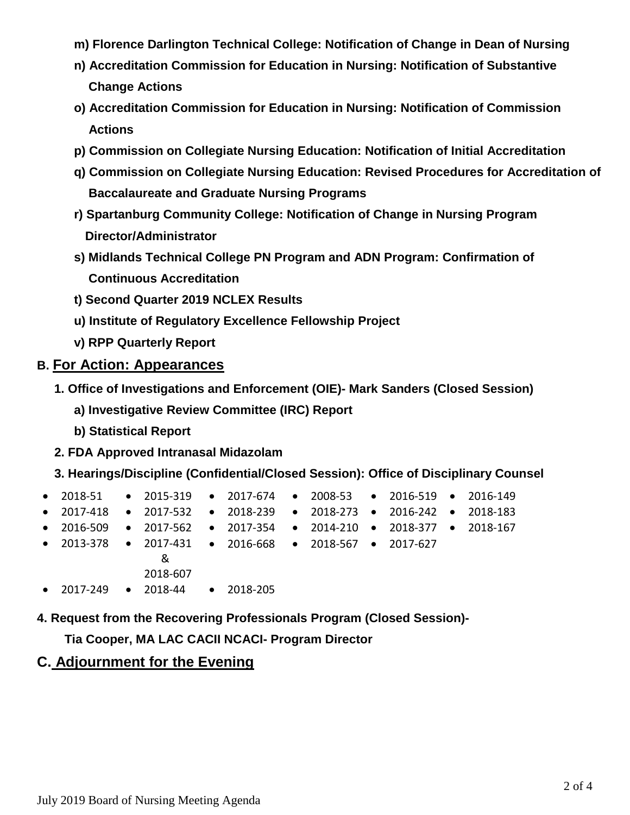- **m) Florence Darlington Technical College: Notification of Change in Dean of Nursing**
- **n) Accreditation Commission for Education in Nursing: Notification of Substantive Change Actions**
- **o) Accreditation Commission for Education in Nursing: Notification of Commission Actions**
- **p) Commission on Collegiate Nursing Education: Notification of Initial Accreditation**
- **q) Commission on Collegiate Nursing Education: Revised Procedures for Accreditation of Baccalaureate and Graduate Nursing Programs**
- **r) Spartanburg Community College: Notification of Change in Nursing Program Director/Administrator**
- **s) Midlands Technical College PN Program and ADN Program: Confirmation of Continuous Accreditation**
- **t) Second Quarter 2019 NCLEX Results**
- **u) Institute of Regulatory Excellence Fellowship Project**
- **v) RPP Quarterly Report**

#### **B. For Action: Appearances**

- **1. Office of Investigations and Enforcement (OIE)- Mark Sanders (Closed Session)**
	- **a) Investigative Review Committee (IRC) Report**
	- **b) Statistical Report**
- **2. FDA Approved Intranasal Midazolam**
- **3. Hearings/Discipline (Confidential/Closed Session): Office of Disciplinary Counsel**

| • 2018-51 • 2015-319 • 2017-674 • 2008-53 • 2016-519 • 2016-149   |                      |  |  |  |  |
|-------------------------------------------------------------------|----------------------|--|--|--|--|
| • 2017-418 • 2017-532 • 2018-239 • 2018-273 • 2016-242 • 2018-183 |                      |  |  |  |  |
| • 2016-509 • 2017-562 • 2017-354 • 2014-210 • 2018-377 • 2018-167 |                      |  |  |  |  |
| • 2013-378 • 2017-431 • 2016-668 • 2018-567 • 2017-627            |                      |  |  |  |  |
|                                                                   | ୍ୟ                   |  |  |  |  |
|                                                                   | 2018-607             |  |  |  |  |
| $\bullet$ 2017-249                                                | • 2018-44 • 2018-205 |  |  |  |  |

**4. Request from the Recovering Professionals Program (Closed Session)-**

 **Tia Cooper, MA LAC CACII NCACI- Program Director**

#### **C. Adjournment for the Evening**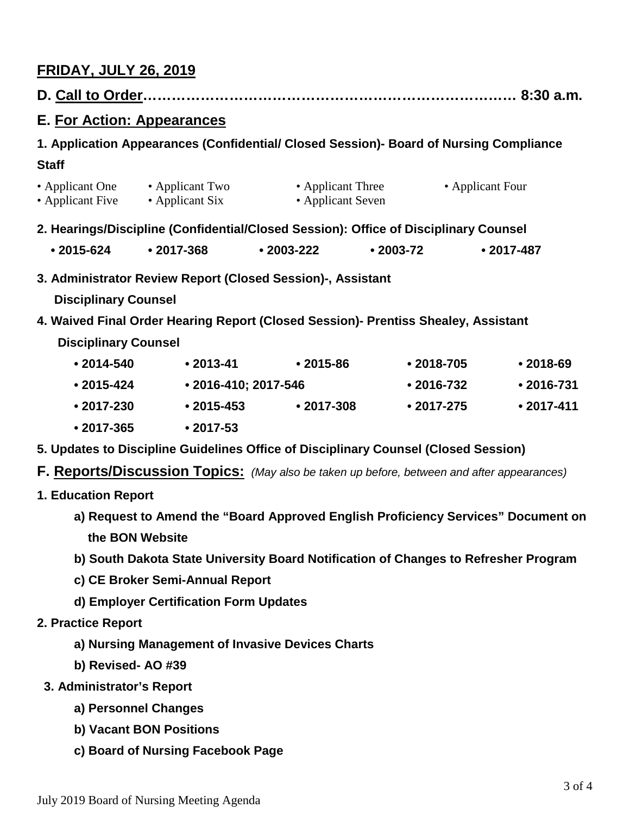# **FRIDAY, JULY 26, 2019**

| E. For Action: Appearances                                                                                                                                                                                      |                      |                                        |            |                  |                |  |  |  |  |  |
|-----------------------------------------------------------------------------------------------------------------------------------------------------------------------------------------------------------------|----------------------|----------------------------------------|------------|------------------|----------------|--|--|--|--|--|
| 1. Application Appearances (Confidential/ Closed Session)- Board of Nursing Compliance                                                                                                                          |                      |                                        |            |                  |                |  |  |  |  |  |
| <b>Staff</b>                                                                                                                                                                                                    |                      |                                        |            |                  |                |  |  |  |  |  |
| • Applicant One • Applicant Two<br>• Applicant Six<br>• Applicant Five                                                                                                                                          |                      | • Applicant Three<br>• Applicant Seven |            | • Applicant Four |                |  |  |  |  |  |
| 2. Hearings/Discipline (Confidential/Closed Session): Office of Disciplinary Counsel                                                                                                                            |                      |                                        |            |                  |                |  |  |  |  |  |
| $• 2015 - 624$                                                                                                                                                                                                  | $• 2017 - 368$       |                                        | $•2003-72$ |                  | $• 2017 - 487$ |  |  |  |  |  |
| 3. Administrator Review Report (Closed Session)-, Assistant<br><b>Disciplinary Counsel</b><br>4. Waived Final Order Hearing Report (Closed Session)- Prentiss Shealey, Assistant<br><b>Disciplinary Counsel</b> |                      |                                        |            |                  |                |  |  |  |  |  |
| $• 2014 - 540$                                                                                                                                                                                                  | $• 2013 - 41$        | $•2015-86$                             |            | $\cdot$ 2018-705 | $•2018-69$     |  |  |  |  |  |
| • 2015-424                                                                                                                                                                                                      | • 2016-410; 2017-546 |                                        |            | $• 2016 - 732$   | $• 2016 - 731$ |  |  |  |  |  |
| $• 2017 - 230$                                                                                                                                                                                                  | $• 2015 - 453$       | $• 2017 - 308$                         |            | $• 2017 - 275$   | $• 2017 - 411$ |  |  |  |  |  |
| $• 2017 - 365$                                                                                                                                                                                                  | $• 2017 - 53$        |                                        |            |                  |                |  |  |  |  |  |
| 5. Updates to Discipline Guidelines Office of Disciplinary Counsel (Closed Session)                                                                                                                             |                      |                                        |            |                  |                |  |  |  |  |  |
| <b>F. Reports/Discussion Topics:</b> (May also be taken up before, between and after appearances)                                                                                                               |                      |                                        |            |                  |                |  |  |  |  |  |
| <b>1. Education Report</b>                                                                                                                                                                                      |                      |                                        |            |                  |                |  |  |  |  |  |

- **a) Request to Amend the "Board Approved English Proficiency Services" Document on the BON Website**
- **b) South Dakota State University Board Notification of Changes to Refresher Program**
- **c) CE Broker Semi-Annual Report**
- **d) Employer Certification Form Updates**
- **2. Practice Report**
	- **a) Nursing Management of Invasive Devices Charts**
	- **b) Revised- AO #39**
	- **3. Administrator's Report**
		- **a) Personnel Changes**
		- **b) Vacant BON Positions**
		- **c) Board of Nursing Facebook Page**